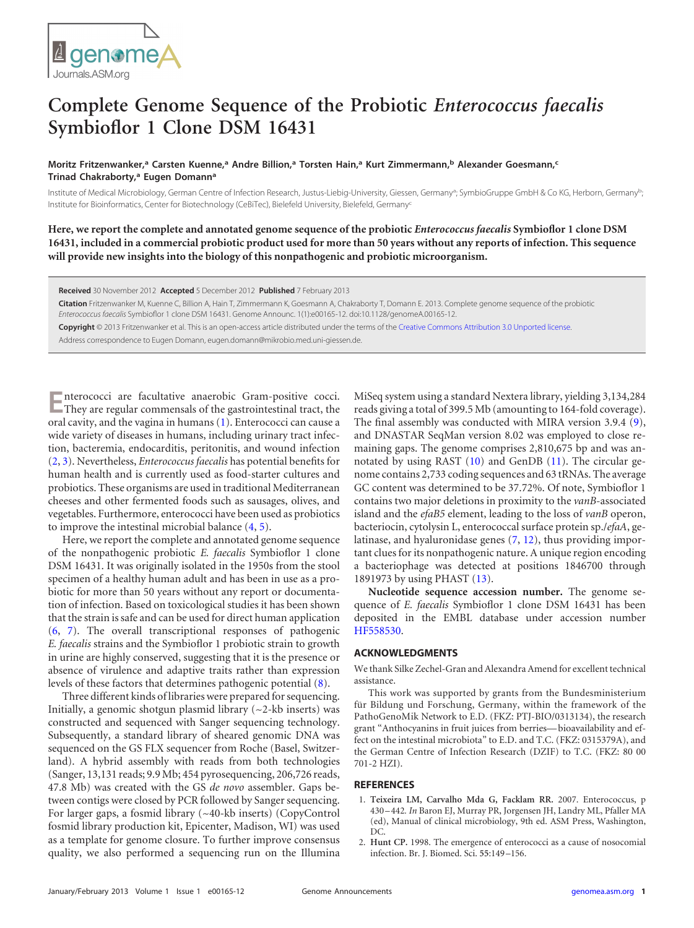

## <span id="page-0-2"></span>**Complete Genome Sequence of the Probiotic** *Enterococcus faecalis* **Symbioflor 1 Clone DSM 16431**

## **Moritz Fritzenwanker, <sup>a</sup> Carsten Kuenne, <sup>a</sup> Andre Billion, <sup>a</sup> Torsten Hain, <sup>a</sup> Kurt Zimmermann, <sup>b</sup> Alexander Goesmann, c Trinad Chakraborty, <sup>a</sup> Eugen Domanna**

Institute of Medical Microbiology, German Centre of Infection Research, Justus-Liebig-University, Giessen, Germany<sup>a</sup>; SymbioGruppe GmbH & Co KG, Herborn, Germany<sup>b</sup>; Institute for Bioinformatics, Center for Biotechnology (CeBiTec), Bielefeld University, Bielefeld, Germanyc

**Here, we report the complete and annotated genome sequence of the probiotic** *Enterococcus faecalis* **Symbioflor 1 clone DSM 16431, included in a commercial probiotic product used for more than 50 years without any reports of infection. This sequence will provide new insights into the biology of this nonpathogenic and probiotic microorganism.**

**Received** 30 November 2012 **Accepted** 5 December 2012 **Published** 7 February 2013

**Citation** Fritzenwanker M, Kuenne C, Billion A, Hain T, Zimmermann K, Goesmann A, Chakraborty T, Domann E. 2013. Complete genome sequence of the probiotic *Enterococcus faecalis* Symbioflor 1 clone DSM 16431. Genome Announc. 1(1):e00165-12. doi:10.1128/genomeA.00165-12.

**Copyright** © 2013 Fritzenwanker et al. This is an open-access article distributed under the terms of the [Creative Commons Attribution 3.0 Unported license.](http://creativecommons.org/licenses/by/3.0/)

Address correspondence to Eugen Domann, eugen.domann@mikrobio.med.uni-giessen.de.

**E**nterococci are facultative anaerobic Gram-positive cocci.<br>They are regular commensals of the gastrointestinal tract, the oral cavity, and the vagina in humans [\(1\)](#page-0-0). Enterococci can cause a wide variety of diseases in humans, including urinary tract infection, bacteremia, endocarditis, peritonitis, and wound infection [\(2,](#page-0-1) [3\)](#page-0-2). Nevertheless, *Enterococcus faecalis* has potential benefits for human health and is currently used as food-starter cultures and probiotics. These organisms are used in traditional Mediterranean cheeses and other fermented foods such as sausages, olives, and vegetables. Furthermore, enterococci have been used as probiotics to improve the intestinal microbial balance [\(4,](#page-1-0) [5\)](#page-1-1).

Here, we report the complete and annotated genome sequence of the nonpathogenic probiotic *E. faecalis* Symbioflor 1 clone DSM 16431. It was originally isolated in the 1950s from the stool specimen of a healthy human adult and has been in use as a probiotic for more than 50 years without any report or documentation of infection. Based on toxicological studies it has been shown that the strain is safe and can be used for direct human application [\(6,](#page-1-2) [7\)](#page-1-3). The overall transcriptional responses of pathogenic *E. faecalis* strains and the Symbioflor 1 probiotic strain to growth in urine are highly conserved, suggesting that it is the presence or absence of virulence and adaptive traits rather than expression levels of these factors that determines pathogenic potential [\(8\)](#page-1-4).

Three different kinds of libraries were prepared for sequencing. Initially, a genomic shotgun plasmid library  $(-2$ -kb inserts) was constructed and sequenced with Sanger sequencing technology. Subsequently, a standard library of sheared genomic DNA was sequenced on the GS FLX sequencer from Roche (Basel, Switzerland). A hybrid assembly with reads from both technologies (Sanger, 13,131 reads; 9.9 Mb; 454 pyrosequencing, 206,726 reads, 47.8 Mb) was created with the GS *de novo* assembler. Gaps between contigs were closed by PCR followed by Sanger sequencing. For larger gaps, a fosmid library (~40-kb inserts) (CopyControl fosmid library production kit, Epicenter, Madison, WI) was used as a template for genome closure. To further improve consensus quality, we also performed a sequencing run on the Illumina

MiSeq system using a standard Nextera library, yielding 3,134,284 reads giving a total of 399.5 Mb (amounting to 164-fold coverage). The final assembly was conducted with MIRA version 3.9.4 [\(9\)](#page-1-5), and DNASTAR SeqMan version 8.02 was employed to close remaining gaps. The genome comprises 2,810,675 bp and was annotated by using RAST [\(10\)](#page-1-6) and GenDB [\(11\)](#page-1-7). The circular genome contains 2,733 coding sequences and 63 tRNAs. The average GC content was determined to be 37.72%. Of note, Symbioflor 1 contains two major deletions in proximity to the *vanB*-associated island and the *efaB5* element, leading to the loss of *vanB* operon, bacteriocin, cytolysin L, enterococcal surface protein sp./*efaA*, gelatinase, and hyaluronidase genes [\(7,](#page-1-3) [12\)](#page-1-8), thus providing important clues for its nonpathogenic nature. A unique region encoding a bacteriophage was detected at positions 1846700 through 1891973 by using PHAST [\(13\)](#page-1-9).

**Nucleotide sequence accession number.** The genome sequence of *E. faecalis* Symbioflor 1 clone DSM 16431 has been deposited in the EMBL database under accession number [HF558530.](http://www.ncbi.nlm.nih.gov/nuccore?term=HF558530)

## **ACKNOWLEDGMENTS**

We thank Silke Zechel-Gran and Alexandra Amend for excellent technical assistance.

This work was supported by grants from the Bundesministerium für Bildung und Forschung, Germany, within the framework of the PathoGenoMik Network to E.D. (FKZ: PTJ-BIO/0313134), the research grant "Anthocyanins in fruit juices from berries— bioavailability and effect on the intestinal microbiota" to E.D. and T.C. (FKZ: 0315379A), and the German Centre of Infection Research (DZIF) to T.C. (FKZ: 80 00 701-2 HZI).

## <span id="page-0-0"></span>**REFERENCES**

- 1. **Teixeira LM, Carvalho Mda G, Facklam RR.** 2007. Enterococcus, p 430 –442*. In* Baron EJ, Murray PR, Jorgensen JH, Landry ML, Pfaller MA (ed), Manual of clinical microbiology, 9th ed. ASM Press, Washington, DC.
- <span id="page-0-1"></span>2. **Hunt CP.** 1998. The emergence of enterococci as a cause of nosocomial infection. Br. J. Biomed. Sci. **55**:149 –156.